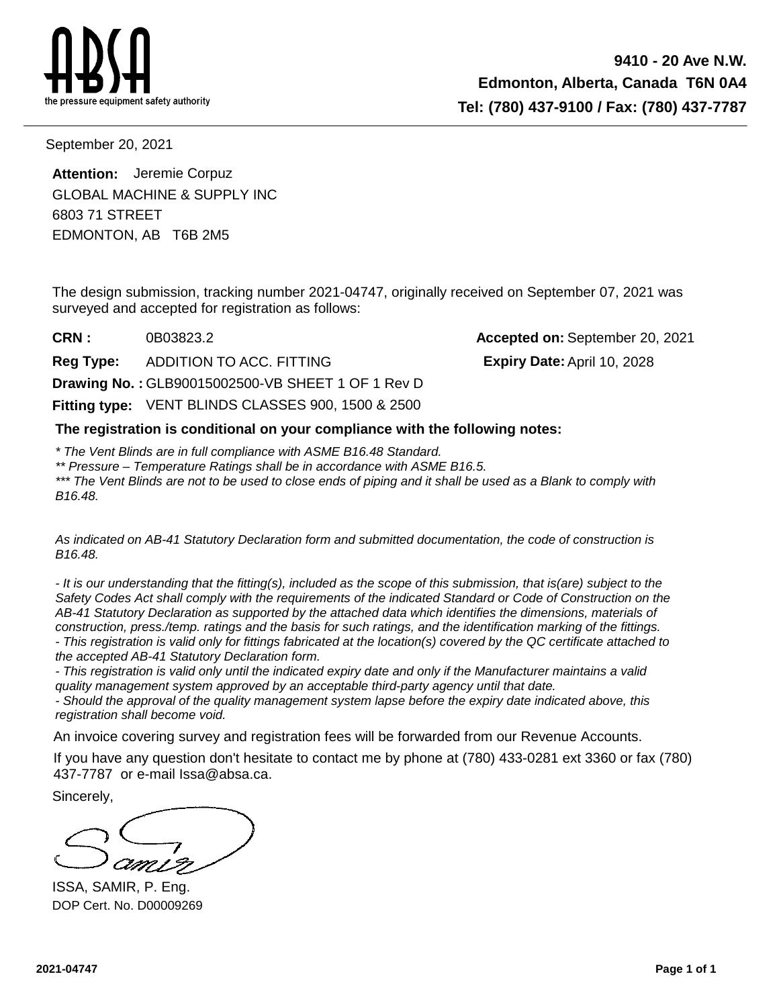

**Expiry Date:**

September 20, 2021

EDMONTON, AB T6B 2M5 6803 71 STREET **Attention:** Jeremie Corpuz GLOBAL MACHINE & SUPPLY INC

The design submission, tracking number 2021-04747, originally received on September 07, 2021 was surveyed and accepted for registration as follows:

**CRN :** 0B03823.2 **Accepted on:** September 20, 2021

**Reg Type:** ADDITION TO ACC. FITTING

**Drawing No. :** GLB90015002500-VB SHEET 1 OF 1 Rev D

Fitting type: VENT BLINDS CLASSES 900, 1500 & 2500

**The registration is conditional on your compliance with the following notes:**

\* The Vent Blinds are in full compliance with ASME B16.48 Standard.

\*\* Pressure – Temperature Ratings shall be in accordance with ASME B16.5.

\*\*\* The Vent Blinds are not to be used to close ends of piping and it shall be used as a Blank to comply with B16.48.

As indicated on AB-41 Statutory Declaration form and submitted documentation, the code of construction is B16.48.

- It is our understanding that the fitting(s), included as the scope of this submission, that is(are) subject to the Safety Codes Act shall comply with the requirements of the indicated Standard or Code of Construction on the AB-41 Statutory Declaration as supported by the attached data which identifies the dimensions, materials of construction, press./temp. ratings and the basis for such ratings, and the identification marking of the fittings. - This registration is valid only for fittings fabricated at the location(s) covered by the QC certificate attached to the accepted AB-41 Statutory Declaration form.

- This registration is valid only until the indicated expiry date and only if the Manufacturer maintains a valid quality management system approved by an acceptable third-party agency until that date.

- Should the approval of the quality management system lapse before the expiry date indicated above, this registration shall become void.

An invoice covering survey and registration fees will be forwarded from our Revenue Accounts.

If you have any question don't hesitate to contact me by phone at (780) 433-0281 ext 3360 or fax (780) 437-7787 or e-mail Issa@absa.ca.

Sincerely,

ISSA, SAMIR, P. Eng. DOP Cert. No. D00009269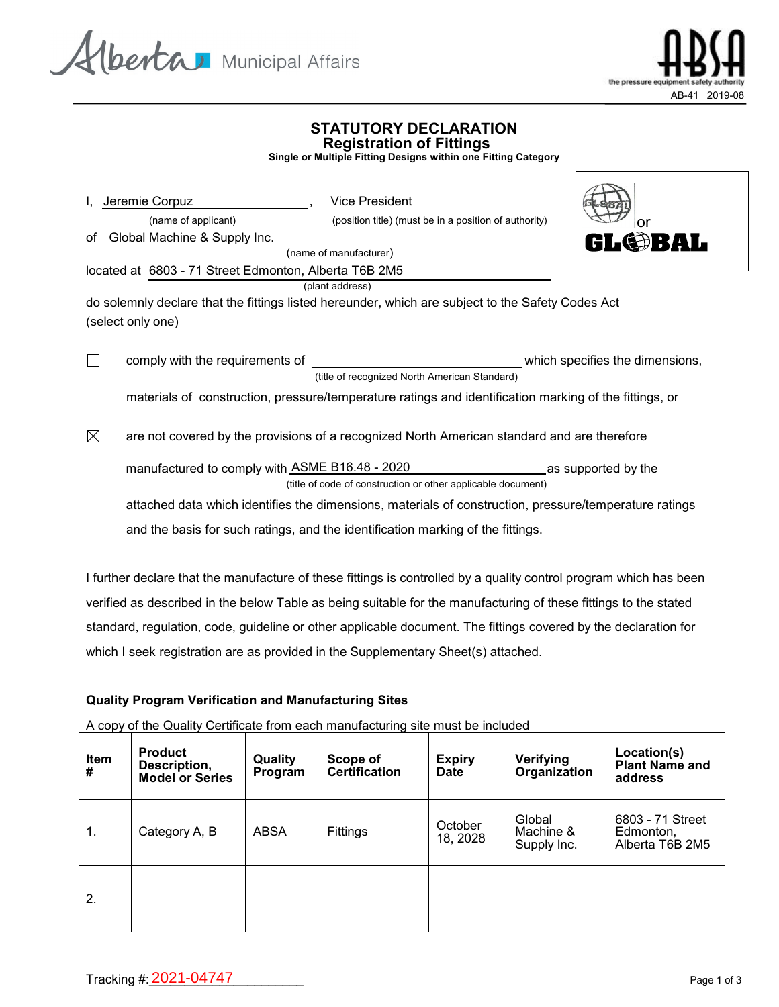



 $\triangle$ 

## **STATUTORY DECLARATION Registration of Fittings**

**Single or Multiple Fitting Designs within one Fitting Category**

| Jeremie Corpuz                                        | <b>Vice President</b>                                                                                  |                                 |
|-------------------------------------------------------|--------------------------------------------------------------------------------------------------------|---------------------------------|
| (name of applicant)                                   | (position title) (must be in a position of authority)                                                  | or                              |
| of Global Machine & Supply Inc.                       |                                                                                                        | <b>GL@BAL</b>                   |
|                                                       | (name of manufacturer)                                                                                 |                                 |
| located at 6803 - 71 Street Edmonton, Alberta T6B 2M5 |                                                                                                        |                                 |
|                                                       | (plant address)                                                                                        |                                 |
|                                                       | do solemnly declare that the fittings listed hereunder, which are subject to the Safety Codes Act      |                                 |
| (select only one)                                     |                                                                                                        |                                 |
|                                                       |                                                                                                        |                                 |
| $\Box$<br>comply with the requirements of             |                                                                                                        | which specifies the dimensions, |
|                                                       | (title of recognized North American Standard)                                                          |                                 |
|                                                       | materials of construction, pressure/temperature ratings and identification marking of the fittings, or |                                 |
| $\boxtimes$                                           | are not covered by the provisions of a recognized North American standard and are therefore            |                                 |
|                                                       |                                                                                                        |                                 |

manufactured to comply with <u>ASME B16.48 - 2020 \_\_\_\_\_\_\_\_\_\_\_\_\_\_\_\_\_\_\_\_</u>as supported by the (title of code of construction or other applicable document)

attached data which identifies the dimensions, materials of construction, pressure/temperature ratings and the basis for such ratings, and the identification marking of the fittings.

I further declare that the manufacture of these fittings is controlled by a quality control program which has been verified as described in the below Table as being suitable for the manufacturing of these fittings to the stated standard, regulation, code, guideline or other applicable document. The fittings covered by the declaration for which I seek registration are as provided in the Supplementary Sheet(s) attached.

### **Quality Program Verification and Manufacturing Sites**

A copy of the Quality Certificate from each manufacturing site must be included

| <b>Item</b><br># | <b>Product</b><br>Description,<br><b>Model or Series</b> | Quality<br>Program | Scope of<br><b>Certification</b> | <b>Expiry</b><br><b>Date</b> | Verifying<br>Organization          | Location(s)<br><b>Plant Name and</b><br>address  |
|------------------|----------------------------------------------------------|--------------------|----------------------------------|------------------------------|------------------------------------|--------------------------------------------------|
| 1.               | Category A, B                                            | <b>ABSA</b>        | Fittings                         | October<br>18, 2028          | Global<br>Machine &<br>Supply Inc. | 6803 - 71 Street<br>Edmonton,<br>Alberta T6B 2M5 |
| 2.               |                                                          |                    |                                  |                              |                                    |                                                  |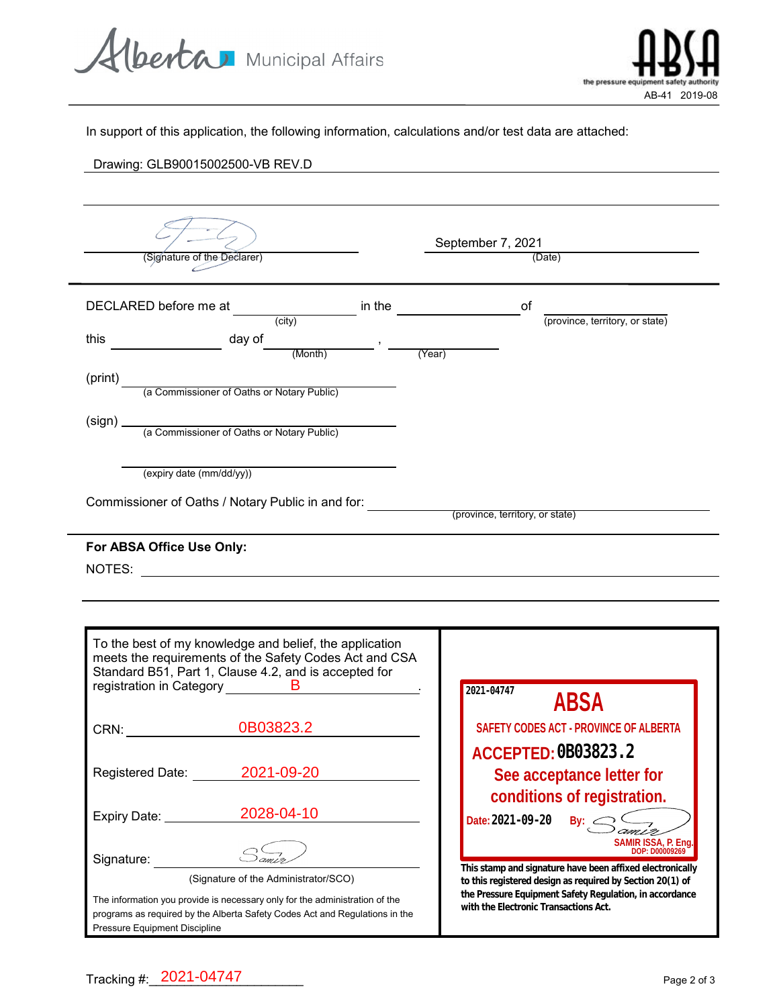Alberta Municipal Affairs



In support of this application, the following information, calculations and/or test data are attached:

# Drawing: GLB90015002500-VB REV.D

 $\blacksquare$ 

-

| (Signature of the Declarer)                                                                                                                                                                        |                        | September 7, 2021<br>(Date) |                  |                                                                                                                                                                        |  |
|----------------------------------------------------------------------------------------------------------------------------------------------------------------------------------------------------|------------------------|-----------------------------|------------------|------------------------------------------------------------------------------------------------------------------------------------------------------------------------|--|
| DECLARED before me at (city)                                                                                                                                                                       | in the $\qquad \qquad$ |                             | of               | (province, territory, or state)                                                                                                                                        |  |
| this $\frac{day \text{ of } (Month)}{(Month)}$ , $\frac{y}{(Year)}$                                                                                                                                |                        |                             |                  |                                                                                                                                                                        |  |
| (print)<br>(a Commissioner of Oaths or Notary Public)                                                                                                                                              |                        |                             |                  |                                                                                                                                                                        |  |
|                                                                                                                                                                                                    |                        |                             |                  |                                                                                                                                                                        |  |
| (expiry date (mm/dd/yy))                                                                                                                                                                           |                        |                             |                  |                                                                                                                                                                        |  |
| Commissioner of Oaths / Notary Public in and for: <i>_____________________________</i> (province, territory, or state)                                                                             |                        |                             |                  |                                                                                                                                                                        |  |
| To the best of my knowledge and belief, the application<br>meets the requirements of the Safety Codes Act and CSA<br>Standard B51, Part 1, Clause 4.2, and is accepted for                         |                        |                             |                  |                                                                                                                                                                        |  |
| registration in Category<br><b>B</b><br>CRN: 0B03823.2                                                                                                                                             |                        |                             | 2021-04747       | <b>ABSA</b><br>SAFETY CODES ACT - PROVINCE OF ALBERTA                                                                                                                  |  |
| 2021-09-20<br>Registered Date:                                                                                                                                                                     |                        |                             |                  | ACCEPTED: CBO3823 2<br>See acceptance letter for                                                                                                                       |  |
| 2028-04-10<br>Expiry Date: _________                                                                                                                                                               |                        |                             | Date: 2021-09-20 | conditions of registration.<br>By: $\leq$                                                                                                                              |  |
| Signature:<br>(Signature of the Administrator/SCO)                                                                                                                                                 |                        |                             |                  | <b>SAMIR ISSA, P. Eng.</b><br>DOP: D00009269<br>This stamp and signature have been affixed electronically<br>to this registered design as required by Section 20(1) of |  |
| The information you provide is necessary only for the administration of the<br>programs as required by the Alberta Safety Codes Act and Regulations in the<br><b>Pressure Equipment Discipline</b> |                        |                             |                  | the Pressure Equipment Safety Regulation, in accordance<br>with the Electronic Transactions Act.                                                                       |  |